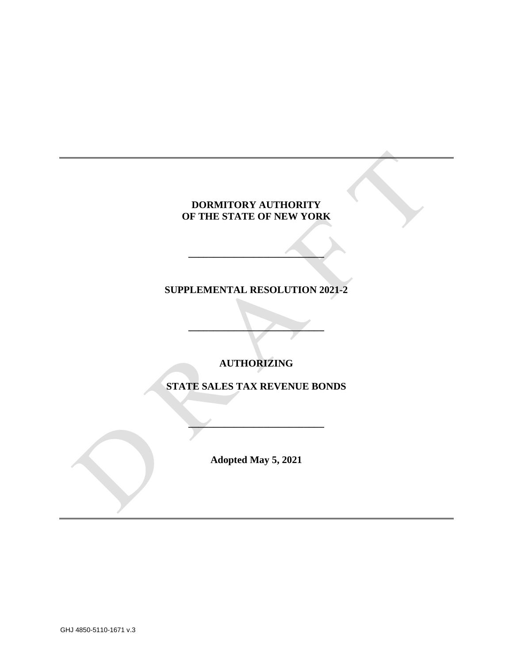# **DORMITORY AUTHORITY OF THE STATE OF NEW YORK**

# **SUPPLEMENTAL RESOLUTION 2021-2**

**\_\_\_\_\_\_\_\_\_\_\_\_\_\_\_\_\_\_\_\_\_\_\_\_\_\_\_**

**AUTHORIZING**

**\_\_\_\_\_\_\_\_\_\_\_\_\_\_\_\_\_\_\_\_\_\_\_\_\_\_\_**

**STATE SALES TAX REVENUE BONDS**

**Adopted May 5, 2021**

**\_\_\_\_\_\_\_\_\_\_\_\_\_\_\_\_\_\_\_\_\_\_\_\_\_\_\_**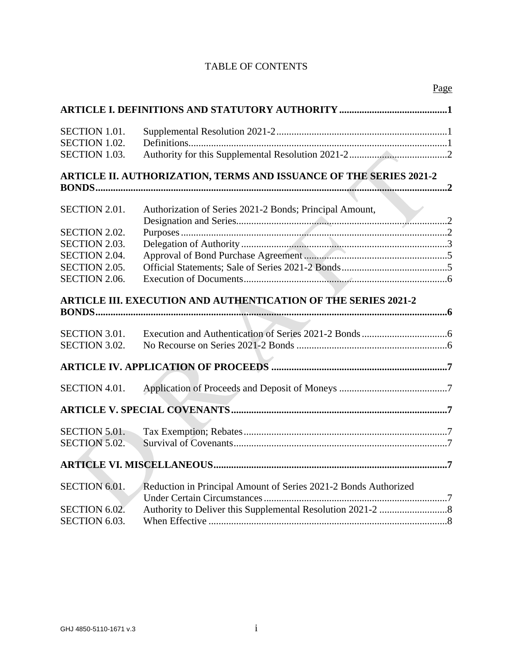# TABLE OF CONTENTS

| <b>SECTION 1.01.</b><br>SECTION 1.02.                                 |                                                                 |
|-----------------------------------------------------------------------|-----------------------------------------------------------------|
| <b>SECTION 1.03.</b>                                                  |                                                                 |
| ARTICLE II. AUTHORIZATION, TERMS AND ISSUANCE OF THE SERIES 2021-2    |                                                                 |
|                                                                       |                                                                 |
| SECTION 2.01.                                                         | Authorization of Series 2021-2 Bonds; Principal Amount,         |
| <b>SECTION 2.02.</b>                                                  |                                                                 |
| SECTION 2.03.                                                         |                                                                 |
| SECTION 2.04.                                                         |                                                                 |
| SECTION 2.05.                                                         |                                                                 |
| SECTION 2.06.                                                         |                                                                 |
| <b>ARTICLE III. EXECUTION AND AUTHENTICATION OF THE SERIES 2021-2</b> |                                                                 |
|                                                                       |                                                                 |
| <b>SECTION 3.01.</b>                                                  |                                                                 |
| SECTION 3.02.                                                         |                                                                 |
|                                                                       |                                                                 |
| SECTION 4.01.                                                         |                                                                 |
|                                                                       |                                                                 |
| <b>SECTION 5.01.</b>                                                  |                                                                 |
| <b>SECTION 5.02.</b>                                                  |                                                                 |
|                                                                       |                                                                 |
| SECTION 6.01.                                                         | Reduction in Principal Amount of Series 2021-2 Bonds Authorized |
| SECTION 6.02.                                                         |                                                                 |
| SECTION 6.03.                                                         |                                                                 |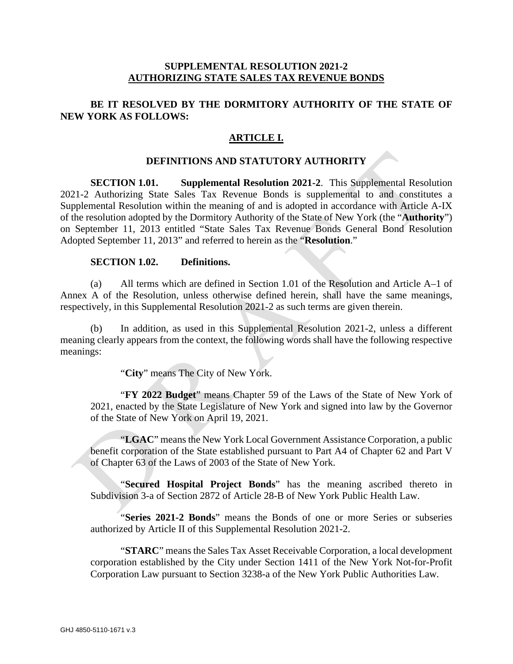## **SUPPLEMENTAL RESOLUTION 2021-2 AUTHORIZING STATE SALES TAX REVENUE BONDS**

## **BE IT RESOLVED BY THE DORMITORY AUTHORITY OF THE STATE OF NEW YORK AS FOLLOWS:**

## **ARTICLE I.**

### **DEFINITIONS AND STATUTORY AUTHORITY**

**SECTION 1.01. Supplemental Resolution 2021-2**. This Supplemental Resolution 2021-2 Authorizing State Sales Tax Revenue Bonds is supplemental to and constitutes a Supplemental Resolution within the meaning of and is adopted in accordance with Article A-IX of the resolution adopted by the Dormitory Authority of the State of New York (the "**Authority**") on September 11, 2013 entitled "State Sales Tax Revenue Bonds General Bond Resolution Adopted September 11, 2013" and referred to herein as the "**Resolution**."

### **SECTION 1.02. Definitions.**

(a) All terms which are defined in Section 1.01 of the Resolution and Article A–1 of Annex A of the Resolution, unless otherwise defined herein, shall have the same meanings, respectively, in this Supplemental Resolution 2021-2 as such terms are given therein.

(b) In addition, as used in this Supplemental Resolution 2021-2, unless a different meaning clearly appears from the context, the following words shall have the following respective meanings:

"**City**" means The City of New York.

"**FY 2022 Budget**" means Chapter 59 of the Laws of the State of New York of 2021, enacted by the State Legislature of New York and signed into law by the Governor of the State of New York on April 19, 2021.

"**LGAC**" means the New York Local Government Assistance Corporation, a public benefit corporation of the State established pursuant to Part A4 of Chapter 62 and Part V of Chapter 63 of the Laws of 2003 of the State of New York.

"**Secured Hospital Project Bonds**" has the meaning ascribed thereto in Subdivision 3-a of Section 2872 of Article 28-B of New York Public Health Law.

"**Series 2021-2 Bonds**" means the Bonds of one or more Series or subseries authorized by Article II of this Supplemental Resolution 2021-2.

"**STARC**" means the Sales Tax Asset Receivable Corporation, a local development corporation established by the City under Section 1411 of the New York Not-for-Profit Corporation Law pursuant to Section 3238-a of the New York Public Authorities Law.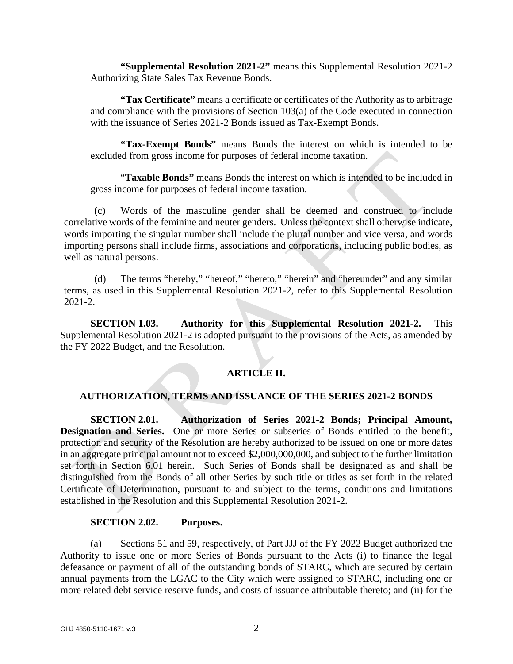**"Supplemental Resolution 2021-2"** means this Supplemental Resolution 2021-2 Authorizing State Sales Tax Revenue Bonds.

**"Tax Certificate"** means a certificate or certificates of the Authority as to arbitrage and compliance with the provisions of Section 103(a) of the Code executed in connection with the issuance of Series 2021-2 Bonds issued as Tax-Exempt Bonds.

**"Tax-Exempt Bonds"** means Bonds the interest on which is intended to be excluded from gross income for purposes of federal income taxation.

"**Taxable Bonds"** means Bonds the interest on which is intended to be included in gross income for purposes of federal income taxation.

(c) Words of the masculine gender shall be deemed and construed to include correlative words of the feminine and neuter genders. Unless the context shall otherwise indicate, words importing the singular number shall include the plural number and vice versa, and words importing persons shall include firms, associations and corporations, including public bodies, as well as natural persons.

(d) The terms "hereby," "hereof," "hereto," "herein" and "hereunder" and any similar terms, as used in this Supplemental Resolution 2021-2, refer to this Supplemental Resolution 2021-2.

**SECTION 1.03. Authority for this Supplemental Resolution 2021-2.** This Supplemental Resolution 2021-2 is adopted pursuant to the provisions of the Acts, as amended by the FY 2022 Budget, and the Resolution.

# **ARTICLE II.**

## **AUTHORIZATION, TERMS AND ISSUANCE OF THE SERIES 2021-2 BONDS**

**SECTION 2.01. Authorization of Series 2021-2 Bonds; Principal Amount, Designation and Series.** One or more Series or subseries of Bonds entitled to the benefit, protection and security of the Resolution are hereby authorized to be issued on one or more dates in an aggregate principal amount not to exceed \$2,000,000,000, and subject to the further limitation set forth in Section 6.01 herein. Such Series of Bonds shall be designated as and shall be distinguished from the Bonds of all other Series by such title or titles as set forth in the related Certificate of Determination, pursuant to and subject to the terms, conditions and limitations established in the Resolution and this Supplemental Resolution 2021-2.

## **SECTION 2.02. Purposes.**

(a) Sections 51 and 59, respectively, of Part JJJ of the FY 2022 Budget authorized the Authority to issue one or more Series of Bonds pursuant to the Acts (i) to finance the legal defeasance or payment of all of the outstanding bonds of STARC, which are secured by certain annual payments from the LGAC to the City which were assigned to STARC, including one or more related debt service reserve funds, and costs of issuance attributable thereto; and (ii) for the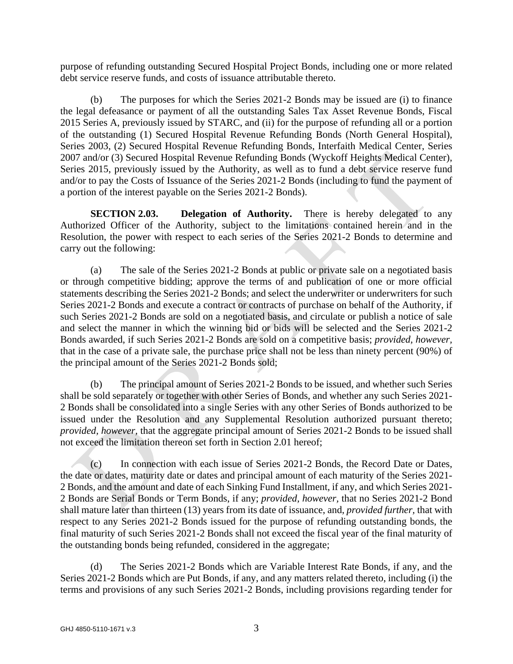purpose of refunding outstanding Secured Hospital Project Bonds, including one or more related debt service reserve funds, and costs of issuance attributable thereto.

(b) The purposes for which the Series 2021-2 Bonds may be issued are (i) to finance the legal defeasance or payment of all the outstanding Sales Tax Asset Revenue Bonds, Fiscal 2015 Series A, previously issued by STARC, and (ii) for the purpose of refunding all or a portion of the outstanding (1) Secured Hospital Revenue Refunding Bonds (North General Hospital), Series 2003, (2) Secured Hospital Revenue Refunding Bonds, Interfaith Medical Center, Series 2007 and/or (3) Secured Hospital Revenue Refunding Bonds (Wyckoff Heights Medical Center), Series 2015, previously issued by the Authority, as well as to fund a debt service reserve fund and/or to pay the Costs of Issuance of the Series 2021-2 Bonds (including to fund the payment of a portion of the interest payable on the Series 2021-2 Bonds).

**SECTION 2.03. Delegation of Authority.** There is hereby delegated to any Authorized Officer of the Authority, subject to the limitations contained herein and in the Resolution, the power with respect to each series of the Series 2021-2 Bonds to determine and carry out the following:

(a) The sale of the Series 2021-2 Bonds at public or private sale on a negotiated basis or through competitive bidding; approve the terms of and publication of one or more official statements describing the Series 2021-2 Bonds; and select the underwriter or underwriters for such Series 2021-2 Bonds and execute a contract or contracts of purchase on behalf of the Authority, if such Series 2021-2 Bonds are sold on a negotiated basis, and circulate or publish a notice of sale and select the manner in which the winning bid or bids will be selected and the Series 2021-2 Bonds awarded, if such Series 2021-2 Bonds are sold on a competitive basis; *provided, however,* that in the case of a private sale, the purchase price shall not be less than ninety percent (90%) of the principal amount of the Series 2021-2 Bonds sold;

(b) The principal amount of Series 2021-2 Bonds to be issued, and whether such Series shall be sold separately or together with other Series of Bonds, and whether any such Series 2021- 2 Bonds shall be consolidated into a single Series with any other Series of Bonds authorized to be issued under the Resolution and any Supplemental Resolution authorized pursuant thereto; *provided, however,* that the aggregate principal amount of Series 2021-2 Bonds to be issued shall not exceed the limitation thereon set forth in Section 2.01 hereof;

(c) In connection with each issue of Series 2021-2 Bonds, the Record Date or Dates, the date or dates, maturity date or dates and principal amount of each maturity of the Series 2021- 2 Bonds, and the amount and date of each Sinking Fund Installment, if any, and which Series 2021- 2 Bonds are Serial Bonds or Term Bonds, if any; *provided, however,* that no Series 2021-2 Bond shall mature later than thirteen (13) years from its date of issuance, and, *provided further,* that with respect to any Series 2021-2 Bonds issued for the purpose of refunding outstanding bonds, the final maturity of such Series 2021-2 Bonds shall not exceed the fiscal year of the final maturity of the outstanding bonds being refunded, considered in the aggregate;

(d) The Series 2021-2 Bonds which are Variable Interest Rate Bonds, if any, and the Series 2021-2 Bonds which are Put Bonds, if any, and any matters related thereto, including (i) the terms and provisions of any such Series 2021-2 Bonds, including provisions regarding tender for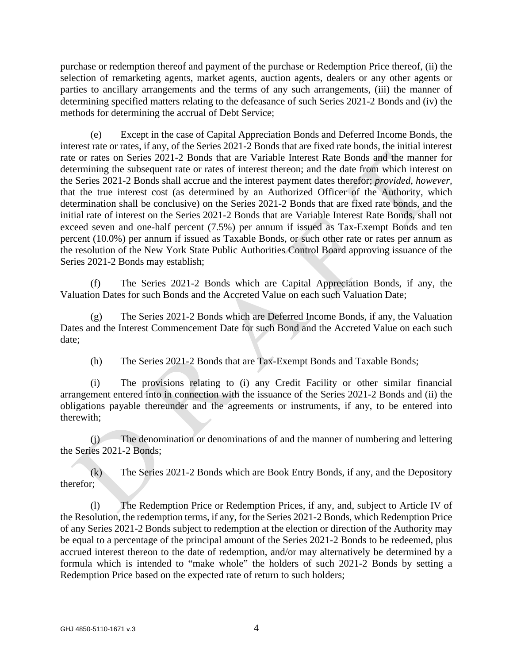purchase or redemption thereof and payment of the purchase or Redemption Price thereof, (ii) the selection of remarketing agents, market agents, auction agents, dealers or any other agents or parties to ancillary arrangements and the terms of any such arrangements, (iii) the manner of determining specified matters relating to the defeasance of such Series 2021-2 Bonds and (iv) the methods for determining the accrual of Debt Service;

(e) Except in the case of Capital Appreciation Bonds and Deferred Income Bonds, the interest rate or rates, if any, of the Series 2021-2 Bonds that are fixed rate bonds, the initial interest rate or rates on Series 2021-2 Bonds that are Variable Interest Rate Bonds and the manner for determining the subsequent rate or rates of interest thereon; and the date from which interest on the Series 2021-2 Bonds shall accrue and the interest payment dates therefor; *provided, however,* that the true interest cost (as determined by an Authorized Officer of the Authority, which determination shall be conclusive) on the Series 2021-2 Bonds that are fixed rate bonds, and the initial rate of interest on the Series 2021-2 Bonds that are Variable Interest Rate Bonds, shall not exceed seven and one-half percent (7.5%) per annum if issued as Tax-Exempt Bonds and ten percent (10.0%) per annum if issued as Taxable Bonds, or such other rate or rates per annum as the resolution of the New York State Public Authorities Control Board approving issuance of the Series 2021-2 Bonds may establish;

(f) The Series 2021-2 Bonds which are Capital Appreciation Bonds, if any, the Valuation Dates for such Bonds and the Accreted Value on each such Valuation Date;

(g) The Series 2021-2 Bonds which are Deferred Income Bonds, if any, the Valuation Dates and the Interest Commencement Date for such Bond and the Accreted Value on each such date;

(h) The Series 2021-2 Bonds that are Tax-Exempt Bonds and Taxable Bonds;

(i) The provisions relating to (i) any Credit Facility or other similar financial arrangement entered into in connection with the issuance of the Series 2021-2 Bonds and (ii) the obligations payable thereunder and the agreements or instruments, if any, to be entered into therewith;

(j) The denomination or denominations of and the manner of numbering and lettering the Series 2021-2 Bonds;

(k) The Series 2021-2 Bonds which are Book Entry Bonds, if any, and the Depository therefor;

(l) The Redemption Price or Redemption Prices, if any, and, subject to Article IV of the Resolution, the redemption terms, if any, for the Series 2021-2 Bonds, which Redemption Price of any Series 2021-2 Bonds subject to redemption at the election or direction of the Authority may be equal to a percentage of the principal amount of the Series 2021-2 Bonds to be redeemed, plus accrued interest thereon to the date of redemption, and/or may alternatively be determined by a formula which is intended to "make whole" the holders of such 2021-2 Bonds by setting a Redemption Price based on the expected rate of return to such holders;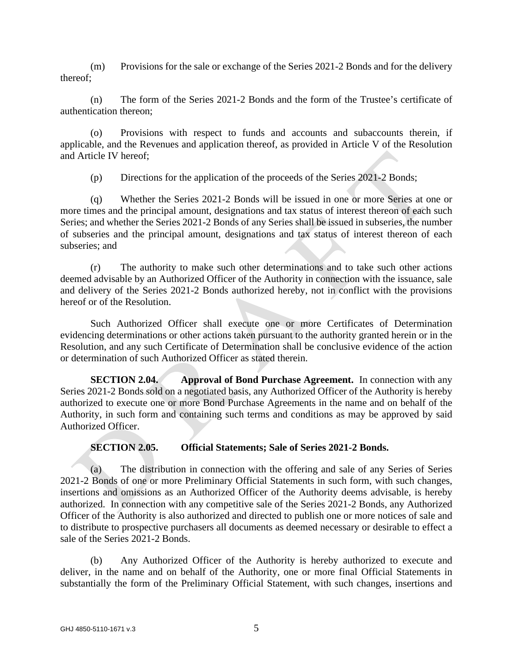(m) Provisions for the sale or exchange of the Series 2021-2 Bonds and for the delivery thereof;

(n) The form of the Series 2021-2 Bonds and the form of the Trustee's certificate of authentication thereon;

(o) Provisions with respect to funds and accounts and subaccounts therein, if applicable, and the Revenues and application thereof, as provided in Article V of the Resolution and Article IV hereof;

(p) Directions for the application of the proceeds of the Series 2021-2 Bonds;

(q) Whether the Series 2021-2 Bonds will be issued in one or more Series at one or more times and the principal amount, designations and tax status of interest thereon of each such Series; and whether the Series 2021-2 Bonds of any Series shall be issued in subseries, the number of subseries and the principal amount, designations and tax status of interest thereon of each subseries; and

(r) The authority to make such other determinations and to take such other actions deemed advisable by an Authorized Officer of the Authority in connection with the issuance, sale and delivery of the Series 2021-2 Bonds authorized hereby, not in conflict with the provisions hereof or of the Resolution.

Such Authorized Officer shall execute one or more Certificates of Determination evidencing determinations or other actions taken pursuant to the authority granted herein or in the Resolution, and any such Certificate of Determination shall be conclusive evidence of the action or determination of such Authorized Officer as stated therein.

**SECTION 2.04. Approval of Bond Purchase Agreement.** In connection with any Series 2021-2 Bonds sold on a negotiated basis, any Authorized Officer of the Authority is hereby authorized to execute one or more Bond Purchase Agreements in the name and on behalf of the Authority, in such form and containing such terms and conditions as may be approved by said Authorized Officer.

## **SECTION 2.05. Official Statements; Sale of Series 2021-2 Bonds.**

(a) The distribution in connection with the offering and sale of any Series of Series 2021-2 Bonds of one or more Preliminary Official Statements in such form, with such changes, insertions and omissions as an Authorized Officer of the Authority deems advisable, is hereby authorized. In connection with any competitive sale of the Series 2021-2 Bonds, any Authorized Officer of the Authority is also authorized and directed to publish one or more notices of sale and to distribute to prospective purchasers all documents as deemed necessary or desirable to effect a sale of the Series 2021-2 Bonds.

(b) Any Authorized Officer of the Authority is hereby authorized to execute and deliver, in the name and on behalf of the Authority, one or more final Official Statements in substantially the form of the Preliminary Official Statement, with such changes, insertions and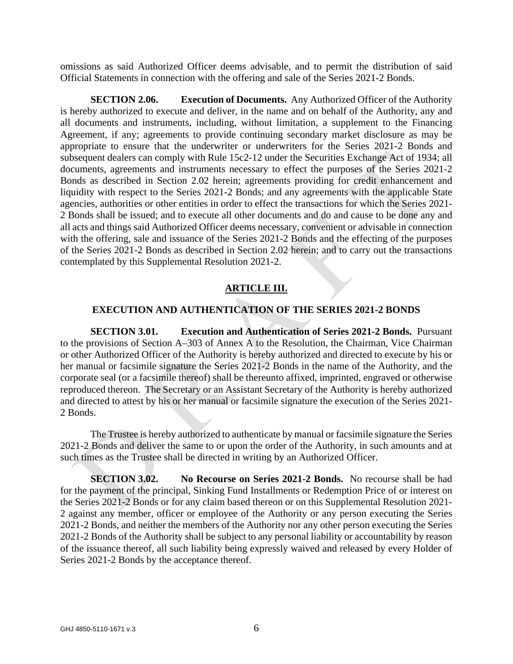omissions as said Authorized Officer deems advisable, and to permit the distribution of said Official Statements in connection with the offering and sale of the Series 2021-2 Bonds.

**SECTION 2.06. Execution of Documents.** Any Authorized Officer of the Authority is hereby authorized to execute and deliver, in the name and on behalf of the Authority, any and all documents and instruments, including, without limitation, a supplement to the Financing Agreement, if any; agreements to provide continuing secondary market disclosure as may be appropriate to ensure that the underwriter or underwriters for the Series 2021-2 Bonds and subsequent dealers can comply with Rule 15c2-12 under the Securities Exchange Act of 1934; all documents, agreements and instruments necessary to effect the purposes of the Series 2021-2 Bonds as described in Section 2.02 herein; agreements providing for credit enhancement and liquidity with respect to the Series 2021-2 Bonds; and any agreements with the applicable State agencies, authorities or other entities in order to effect the transactions for which the Series 2021- 2 Bonds shall be issued; and to execute all other documents and do and cause to be done any and all acts and things said Authorized Officer deems necessary, convenient or advisable in connection with the offering, sale and issuance of the Series 2021-2 Bonds and the effecting of the purposes of the Series 2021-2 Bonds as described in Section 2.02 herein; and to carry out the transactions contemplated by this Supplemental Resolution 2021-2.

## **ARTICLE III.**

### **EXECUTION AND AUTHENTICATION OF THE SERIES 2021-2 BONDS**

**SECTION 3.01. Execution and Authentication of Series 2021-2 Bonds.** Pursuant to the provisions of Section A–303 of Annex A to the Resolution, the Chairman, Vice Chairman or other Authorized Officer of the Authority is hereby authorized and directed to execute by his or her manual or facsimile signature the Series 2021-2 Bonds in the name of the Authority, and the corporate seal (or a facsimile thereof) shall be thereunto affixed, imprinted, engraved or otherwise reproduced thereon. The Secretary or an Assistant Secretary of the Authority is hereby authorized and directed to attest by his or her manual or facsimile signature the execution of the Series 2021- 2 Bonds.

The Trustee is hereby authorized to authenticate by manual or facsimile signature the Series 2021-2 Bonds and deliver the same to or upon the order of the Authority, in such amounts and at such times as the Trustee shall be directed in writing by an Authorized Officer.

**SECTION 3.02. No Recourse on Series 2021-2 Bonds.** No recourse shall be had for the payment of the principal, Sinking Fund Installments or Redemption Price of or interest on the Series 2021-2 Bonds or for any claim based thereon or on this Supplemental Resolution 2021- 2 against any member, officer or employee of the Authority or any person executing the Series 2021-2 Bonds, and neither the members of the Authority nor any other person executing the Series 2021-2 Bonds of the Authority shall be subject to any personal liability or accountability by reason of the issuance thereof, all such liability being expressly waived and released by every Holder of Series 2021-2 Bonds by the acceptance thereof.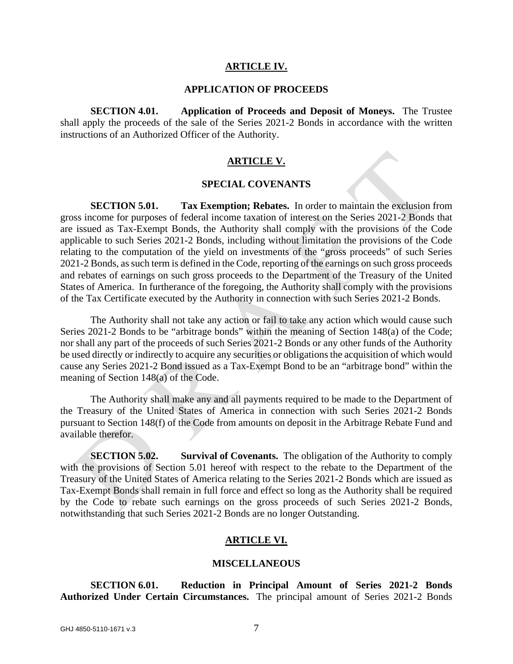#### **ARTICLE IV.**

## **APPLICATION OF PROCEEDS**

**SECTION 4.01. Application of Proceeds and Deposit of Moneys.** The Trustee shall apply the proceeds of the sale of the Series 2021-2 Bonds in accordance with the written instructions of an Authorized Officer of the Authority.

#### **ARTICLE V.**

#### **SPECIAL COVENANTS**

**SECTION 5.01. Tax Exemption; Rebates.** In order to maintain the exclusion from gross income for purposes of federal income taxation of interest on the Series 2021-2 Bonds that are issued as Tax-Exempt Bonds, the Authority shall comply with the provisions of the Code applicable to such Series 2021-2 Bonds, including without limitation the provisions of the Code relating to the computation of the yield on investments of the "gross proceeds" of such Series 2021-2 Bonds, as such term is defined in the Code, reporting of the earnings on such gross proceeds and rebates of earnings on such gross proceeds to the Department of the Treasury of the United States of America. In furtherance of the foregoing, the Authority shall comply with the provisions of the Tax Certificate executed by the Authority in connection with such Series 2021-2 Bonds.

The Authority shall not take any action or fail to take any action which would cause such Series 2021-2 Bonds to be "arbitrage bonds" within the meaning of Section 148(a) of the Code; nor shall any part of the proceeds of such Series 2021-2 Bonds or any other funds of the Authority be used directly or indirectly to acquire any securities or obligations the acquisition of which would cause any Series 2021-2 Bond issued as a Tax-Exempt Bond to be an "arbitrage bond" within the meaning of Section 148(a) of the Code.

The Authority shall make any and all payments required to be made to the Department of the Treasury of the United States of America in connection with such Series 2021-2 Bonds pursuant to Section 148(f) of the Code from amounts on deposit in the Arbitrage Rebate Fund and available therefor.

**SECTION 5.02. Survival of Covenants.** The obligation of the Authority to comply with the provisions of Section 5.01 hereof with respect to the rebate to the Department of the Treasury of the United States of America relating to the Series 2021-2 Bonds which are issued as Tax-Exempt Bonds shall remain in full force and effect so long as the Authority shall be required by the Code to rebate such earnings on the gross proceeds of such Series 2021-2 Bonds, notwithstanding that such Series 2021-2 Bonds are no longer Outstanding.

### **ARTICLE VI.**

#### **MISCELLANEOUS**

**SECTION 6.01. Reduction in Principal Amount of Series 2021-2 Bonds Authorized Under Certain Circumstances.** The principal amount of Series 2021-2 Bonds